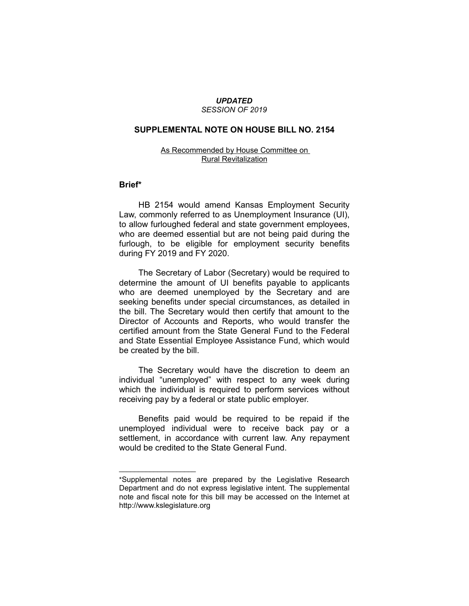#### *UPDATED SESSION OF 2019*

# **SUPPLEMENTAL NOTE ON HOUSE BILL NO. 2154**

## As Recommended by House Committee on Rural Revitalization

### **Brief\***

HB 2154 would amend Kansas Employment Security Law, commonly referred to as Unemployment Insurance (UI), to allow furloughed federal and state government employees, who are deemed essential but are not being paid during the furlough, to be eligible for employment security benefits during FY 2019 and FY 2020.

The Secretary of Labor (Secretary) would be required to determine the amount of UI benefits payable to applicants who are deemed unemployed by the Secretary and are seeking benefits under special circumstances, as detailed in the bill. The Secretary would then certify that amount to the Director of Accounts and Reports, who would transfer the certified amount from the State General Fund to the Federal and State Essential Employee Assistance Fund, which would be created by the bill.

The Secretary would have the discretion to deem an individual "unemployed" with respect to any week during which the individual is required to perform services without receiving pay by a federal or state public employer.

Benefits paid would be required to be repaid if the unemployed individual were to receive back pay or a settlement, in accordance with current law. Any repayment would be credited to the State General Fund.

 $\overline{\phantom{a}}$  , where  $\overline{\phantom{a}}$  , where  $\overline{\phantom{a}}$ 

<sup>\*</sup>Supplemental notes are prepared by the Legislative Research Department and do not express legislative intent. The supplemental note and fiscal note for this bill may be accessed on the Internet at http://www.kslegislature.org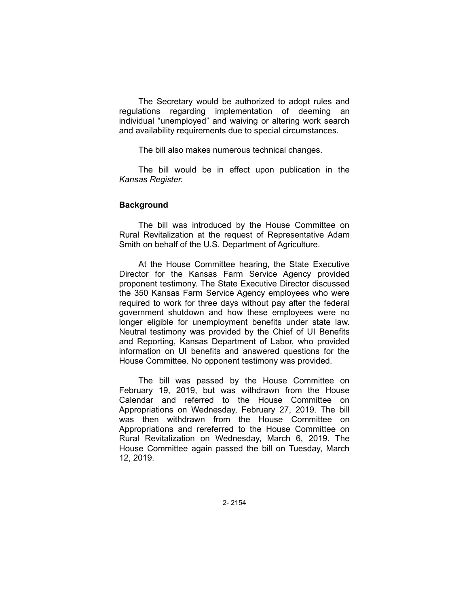The Secretary would be authorized to adopt rules and regulations regarding implementation of deeming an individual "unemployed" and waiving or altering work search and availability requirements due to special circumstances.

The bill also makes numerous technical changes.

The bill would be in effect upon publication in the *Kansas Register.*

# **Background**

The bill was introduced by the House Committee on Rural Revitalization at the request of Representative Adam Smith on behalf of the U.S. Department of Agriculture.

At the House Committee hearing, the State Executive Director for the Kansas Farm Service Agency provided proponent testimony. The State Executive Director discussed the 350 Kansas Farm Service Agency employees who were required to work for three days without pay after the federal government shutdown and how these employees were no longer eligible for unemployment benefits under state law. Neutral testimony was provided by the Chief of UI Benefits and Reporting, Kansas Department of Labor, who provided information on UI benefits and answered questions for the House Committee. No opponent testimony was provided.

The bill was passed by the House Committee on February 19, 2019, but was withdrawn from the House Calendar and referred to the House Committee on Appropriations on Wednesday, February 27, 2019. The bill was then withdrawn from the House Committee on Appropriations and rereferred to the House Committee on Rural Revitalization on Wednesday, March 6, 2019. The House Committee again passed the bill on Tuesday, March 12, 2019.